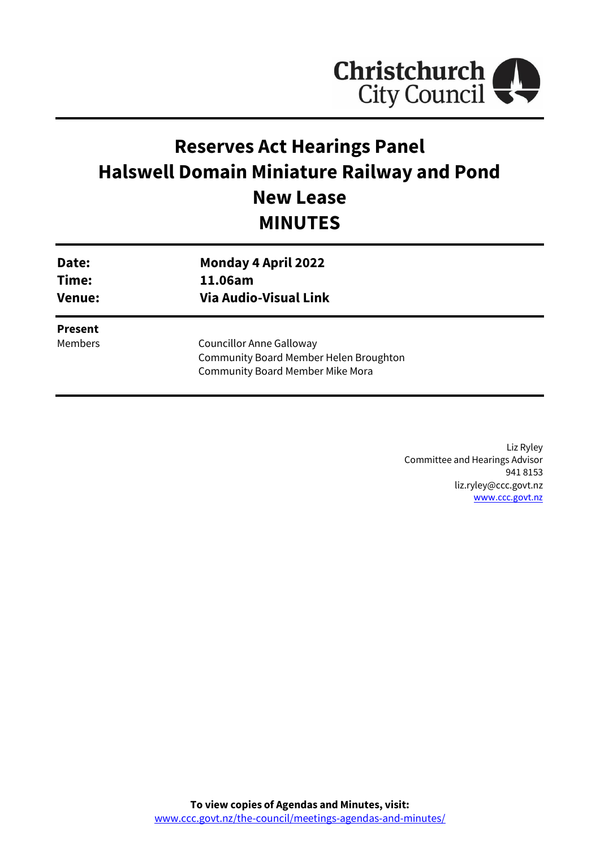

# **Reserves Act Hearings Panel Halswell Domain Miniature Railway and Pond New Lease MINUTES**

| Date:                            | <b>Monday 4 April 2022</b>                                                                                           |
|----------------------------------|----------------------------------------------------------------------------------------------------------------------|
| Time:                            | 11.06am                                                                                                              |
| <b>Venue:</b>                    | <b>Via Audio-Visual Link</b>                                                                                         |
| <b>Present</b><br><b>Members</b> | <b>Councillor Anne Galloway</b><br>Community Board Member Helen Broughton<br><b>Community Board Member Mike Mora</b> |

Liz Ryley Committee and Hearings Advisor 941 8153 liz.ryley@ccc.govt.nz [www.ccc.govt.nz](http://www.ccc.govt.nz/)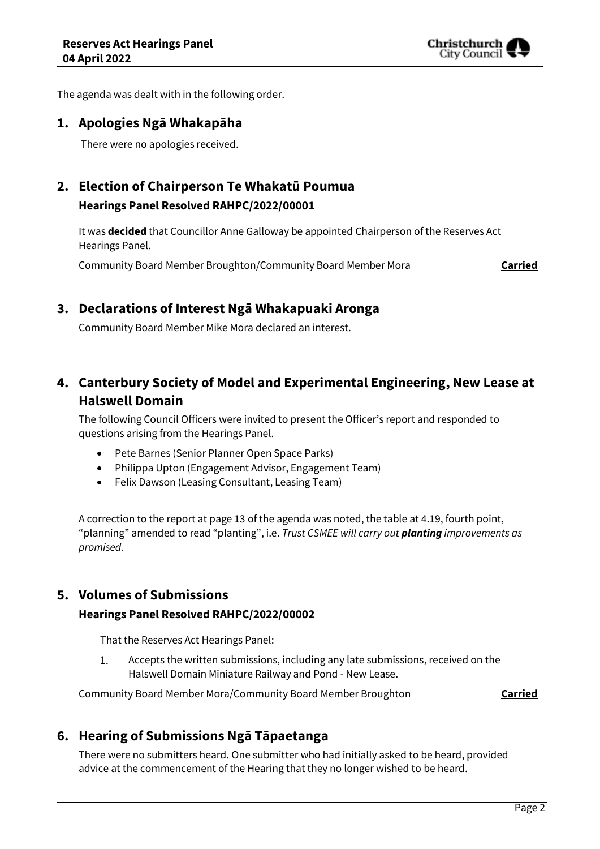

The agenda was dealt with in the following order.

### **1. Apologies Ngā Whakapāha**

There were no apologies received.

## **2. Election of Chairperson Te Whakatū Poumua Hearings Panel Resolved RAHPC/2022/00001**

It was **decided** that Councillor Anne Galloway be appointed Chairperson of the Reserves Act Hearings Panel.

Community Board Member Broughton/Community Board Member Mora **Carried**

## **3. Declarations of Interest Ngā Whakapuaki Aronga**

Community Board Member Mike Mora declared an interest.

# **4. Canterbury Society of Model and Experimental Engineering, New Lease at Halswell Domain**

The following Council Officers were invited to present the Officer's report and responded to questions arising from the Hearings Panel.

- Pete Barnes (Senior Planner Open Space Parks)
- Philippa Upton (Engagement Advisor, Engagement Team)
- Felix Dawson (Leasing Consultant, Leasing Team)

A correction to the report at page 13 of the agenda was noted, the table at 4.19, fourth point, "planning" amended to read "planting", i.e. *Trust CSMEE will carry out planting improvements as promised.*

## **5. Volumes of Submissions**

#### **Hearings Panel Resolved RAHPC/2022/00002**

That the Reserves Act Hearings Panel:

 $\mathbf{1}$ . Accepts the written submissions, including any late submissions, received on the Halswell Domain Miniature Railway and Pond - New Lease.

Community Board Member Mora/Community Board Member Broughton **Carried**

## **6. Hearing of Submissions Ngā Tāpaetanga**

There were no submitters heard. One submitter who had initially asked to be heard, provided advice at the commencement of the Hearing that they no longer wished to be heard.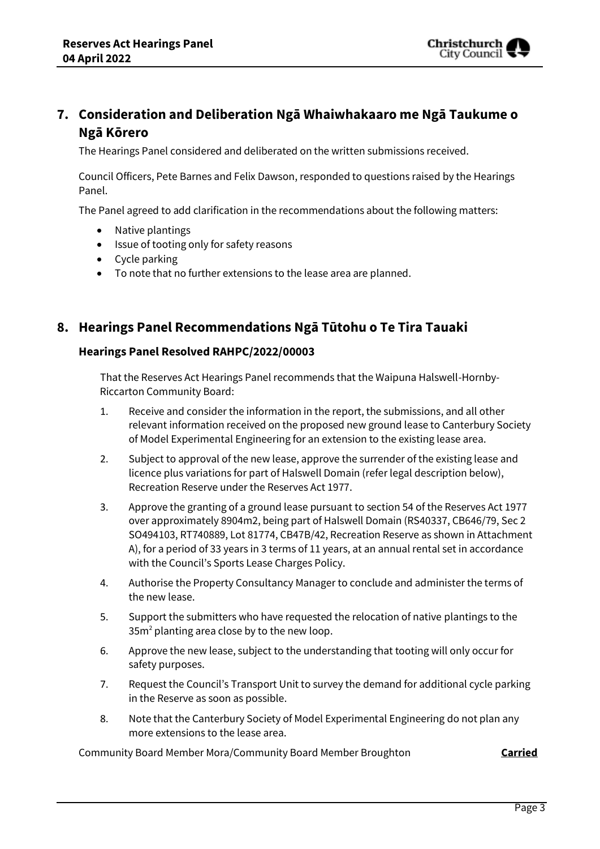

# **7. Consideration and Deliberation Ngā Whaiwhakaaro me Ngā Taukume o Ngā Kōrero**

The Hearings Panel considered and deliberated on the written submissions received.

Council Officers, Pete Barnes and Felix Dawson, responded to questions raised by the Hearings Panel.

The Panel agreed to add clarification in the recommendations about the following matters:

- Native plantings
- Issue of tooting only for safety reasons
- Cycle parking
- To note that no further extensions to the lease area are planned.

## **8. Hearings Panel Recommendations Ngā Tūtohu o Te Tira Tauaki**

#### **Hearings Panel Resolved RAHPC/2022/00003**

That the Reserves Act Hearings Panel recommends that the Waipuna Halswell-Hornby-Riccarton Community Board:

- 1. Receive and consider the information in the report, the submissions, and all other relevant information received on the proposed new ground lease to Canterbury Society of Model Experimental Engineering for an extension to the existing lease area.
- 2. Subject to approval of the new lease, approve the surrender of the existing lease and licence plus variations for part of Halswell Domain (refer legal description below), Recreation Reserve under the Reserves Act 1977.
- 3. Approve the granting of a ground lease pursuant to section 54 of the Reserves Act 1977 over approximately 8904m2, being part of Halswell Domain (RS40337, CB646/79, Sec 2 SO494103, RT740889, Lot 81774, CB47B/42, Recreation Reserve as shown in Attachment A), for a period of 33 years in 3 terms of 11 years, at an annual rental set in accordance with the Council's Sports Lease Charges Policy.
- 4. Authorise the Property Consultancy Manager to conclude and administer the terms of the new lease.
- 5. Support the submitters who have requested the relocation of native plantings to the 35m<sup>2</sup> planting area close by to the new loop.
- 6. Approve the new lease, subject to the understanding that tooting will only occur for safety purposes.
- 7. Request the Council's Transport Unit to survey the demand for additional cycle parking in the Reserve as soon as possible.
- 8. Note that the Canterbury Society of Model Experimental Engineering do not plan any more extensions to the lease area.

Community Board Member Mora/Community Board Member Broughton **Carried**